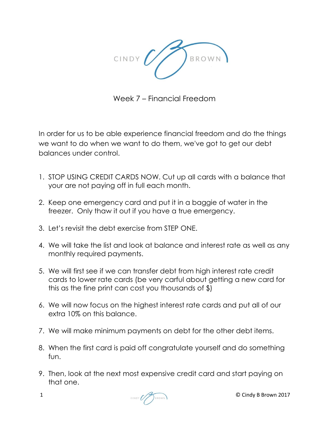

Week 7 – Financial Freedom

In order for us to be able experience financial freedom and do the things we want to do when we want to do them, we've got to get our debt balances under control.

- 1. STOP USING CREDIT CARDS NOW. Cut up all cards with a balance that your are not paying off in full each month.
- 2. Keep one emergency card and put it in a baggie of water in the freezer. Only thaw it out if you have a true emergency.
- 3. Let's revisit the debt exercise from STEP ONE.
- 4. We will take the list and look at balance and interest rate as well as any monthly required payments.
- 5. We will first see if we can transfer debt from high interest rate credit cards to lower rate cards (be very carful about getting a new card for this as the fine print can cost you thousands of \$)
- 6. We will now focus on the highest interest rate cards and put all of our extra 10% on this balance.
- 7. We will make minimum payments on debt for the other debt items.
- 8. When the first card is paid off congratulate yourself and do something fun.
- 9. Then, look at the next most expensive credit card and start paying on that one.